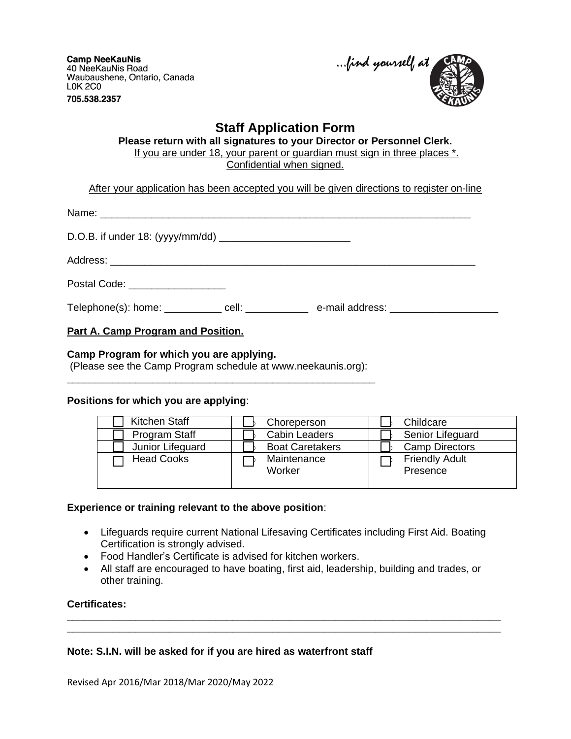**Camp NeeKauNis** 40 NeeKauNis Road Waubaushene, Ontario, Canada **LOK 2CO** 705.538.2357

...find yourself at

# **Staff Application Form**

**Please return with all signatures to your Director or Personnel Clerk.** If you are under 18, your parent or guardian must sign in three places \*. Confidential when signed.

After your application has been accepted you will be given directions to register on-line

| Postal Code: ___________________ |  |
|----------------------------------|--|
|                                  |  |
|                                  |  |

# **Part A. Camp Program and Position.**

#### **Camp Program for which you are applying.**

(Please see the Camp Program schedule at www.neekaunis.org): \_\_\_\_\_\_\_\_\_\_\_\_\_\_\_\_\_\_\_\_\_\_\_\_\_\_\_\_\_\_\_\_\_\_\_\_\_\_\_\_\_\_\_\_\_\_\_\_\_\_\_\_\_\_

# **Positions for which you are applying**:

| Kitchen Staff     | Choreperson            | Childcare                         |
|-------------------|------------------------|-----------------------------------|
| Program Staff     | <b>Cabin Leaders</b>   | Senior Lifeguard                  |
| Junior Lifeguard  | <b>Boat Caretakers</b> | <b>Camp Directors</b>             |
| <b>Head Cooks</b> | Maintenance<br>Worker  | <b>Friendly Adult</b><br>Presence |

# **Experience or training relevant to the above position**:

- Lifeguards require current National Lifesaving Certificates including First Aid. Boating Certification is strongly advised.
- Food Handler's Certificate is advised for kitchen workers.
- All staff are encouraged to have boating, first aid, leadership, building and trades, or other training.

**\_\_\_\_\_\_\_\_\_\_\_\_\_\_\_\_\_\_\_\_\_\_\_\_\_\_\_\_\_\_\_\_\_\_\_\_\_\_\_\_\_\_\_\_\_\_\_\_\_\_\_\_\_\_\_\_\_\_\_\_\_\_\_\_\_\_\_\_\_\_\_\_\_\_\_\_ \_\_\_\_\_\_\_\_\_\_\_\_\_\_\_\_\_\_\_\_\_\_\_\_\_\_\_\_\_\_\_\_\_\_\_\_\_\_\_\_\_\_\_\_\_\_\_\_\_\_\_\_\_\_\_\_\_\_\_\_\_\_\_\_\_\_\_\_\_\_\_\_\_\_\_\_**

# **Certificates:**

# **Note: S.I.N. will be asked for if you are hired as waterfront staff**

Revised Apr 2016/Mar 2018/Mar 2020/May 2022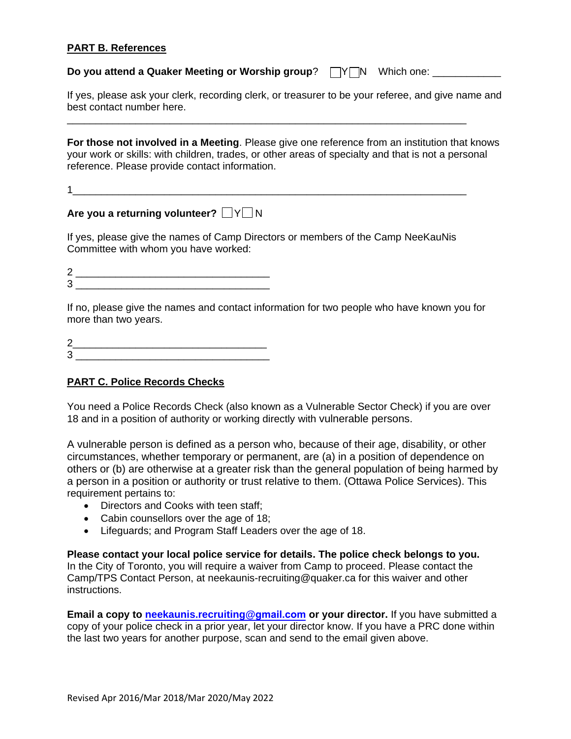# **PART B. References**

**Do you attend a Quaker Meeting or Worship group**?  $\Box Y \Box N$  Which one: \_\_\_\_\_\_\_\_\_\_\_

If yes, please ask your clerk, recording clerk, or treasurer to be your referee, and give name and best contact number here.

**For those not involved in a Meeting**. Please give one reference from an institution that knows your work or skills: with children, trades, or other areas of specialty and that is not a personal reference. Please provide contact information.

1\_\_\_\_\_\_\_\_\_\_\_\_\_\_\_\_\_\_\_\_\_\_\_\_\_\_\_\_\_\_\_\_\_\_\_\_\_\_\_\_\_\_\_\_\_\_\_\_\_\_\_\_\_\_\_\_\_\_\_\_\_\_\_\_\_\_\_\_\_

\_\_\_\_\_\_\_\_\_\_\_\_\_\_\_\_\_\_\_\_\_\_\_\_\_\_\_\_\_\_\_\_\_\_\_\_\_\_\_\_\_\_\_\_\_\_\_\_\_\_\_\_\_\_\_\_\_\_\_\_\_\_\_\_\_\_\_\_\_\_

**Are you a returning volunteer?**  $\Box$ Y $\Box$ N

If yes, please give the names of Camp Directors or members of the Camp NeeKauNis Committee with whom you have worked:

2 \_\_\_\_\_\_\_\_\_\_\_\_\_\_\_\_\_\_\_\_\_\_\_\_\_\_\_\_\_\_\_\_\_\_  $3 \quad$ 

If no, please give the names and contact information for two people who have known you for more than two years.

2\_\_\_\_\_\_\_\_\_\_\_\_\_\_\_\_\_\_\_\_\_\_\_\_\_\_\_\_\_\_\_\_\_\_  $3 \quad \qquad$ 

# **PART C. Police Records Checks**

You need a Police Records Check (also known as a Vulnerable Sector Check) if you are over 18 and in a position of authority or working directly with vulnerable persons.

A vulnerable person is defined as a person who, because of their age, disability, or other circumstances, whether temporary or permanent, are (a) in a position of dependence on others or (b) are otherwise at a greater risk than the general population of being harmed by a person in a position or authority or trust relative to them. (Ottawa Police Services). This requirement pertains to:

- Directors and Cooks with teen staff;
- Cabin counsellors over the age of 18;
- Lifeguards; and Program Staff Leaders over the age of 18.

**Please contact your local police service for details. The police check belongs to you.** In the City of Toronto, you will require a waiver from Camp to proceed. Please contact the Camp/TPS Contact Person, at neekaunis-recruiting@quaker.ca for this waiver and other instructions.

**Email a copy to neekaunis.[recruiting@](mailto:neekaunis-recruiting@quaker.ca)gmail.com or your director.** If you have submitted a copy of your police check in a prior year, let your director know. If you have a PRC done within the last two years for another purpose, scan and send to the email given above.